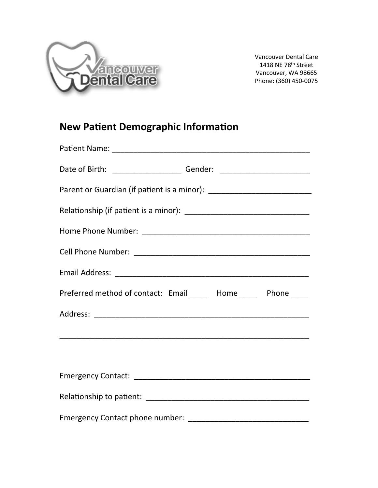

**Vancouver Dental Care** 1418 NE 78<sup>th</sup> Street Vancouver, WA 98665 Phone: (360) 450-0075

## **New Patient Demographic Information**

| Preferred method of contact: Email _____ Home ____ Phone ____ |
|---------------------------------------------------------------|
|                                                               |
|                                                               |
|                                                               |
|                                                               |
|                                                               |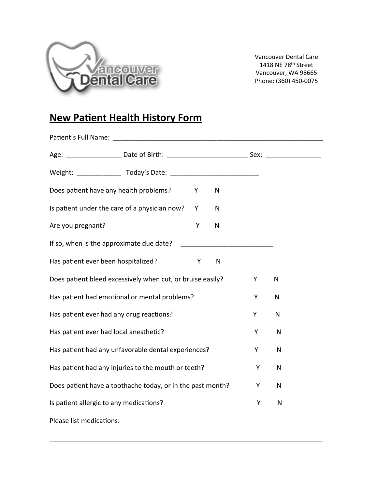

**Vancouver Dental Care** 1418 NE 78<sup>th</sup> Street Vancouver, WA 98665 Phone: (360) 450-0075

## **New Patient Health History Form**

|                                                            | Age: ________________________Date of Birth: __________________________________Sex: ___________________________ |   |              |              |              |
|------------------------------------------------------------|----------------------------------------------------------------------------------------------------------------|---|--------------|--------------|--------------|
|                                                            |                                                                                                                |   |              |              |              |
| Does patient have any health problems?                     |                                                                                                                | Υ | $\mathsf{N}$ |              |              |
|                                                            | Is patient under the care of a physician now?                                                                  | Y | $\mathsf{N}$ |              |              |
| Are you pregnant?                                          |                                                                                                                | Υ | N            |              |              |
| If so, when is the approximate due date?                   |                                                                                                                |   |              |              |              |
| Has patient ever been hospitalized?                        |                                                                                                                | Y | $\mathsf{N}$ |              |              |
|                                                            | Does patient bleed excessively when cut, or bruise easily?                                                     |   |              | Υ            | $\mathsf{N}$ |
|                                                            | Has patient had emotional or mental problems?                                                                  |   |              | Y            | N            |
| Has patient ever had any drug reactions?                   |                                                                                                                |   |              | Υ            | $\mathsf{N}$ |
| Has patient ever had local anesthetic?                     |                                                                                                                |   |              | Y            | N            |
| Has patient had any unfavorable dental experiences?        |                                                                                                                |   | Υ            | $\mathsf{N}$ |              |
| Has patient had any injuries to the mouth or teeth?        |                                                                                                                |   | Y            | ${\sf N}$    |              |
| Does patient have a toothache today, or in the past month? |                                                                                                                |   | Y            | ${\sf N}$    |              |
| Is patient allergic to any medications?                    |                                                                                                                |   |              | Υ            | $\mathsf{N}$ |
| Please list medications:                                   |                                                                                                                |   |              |              |              |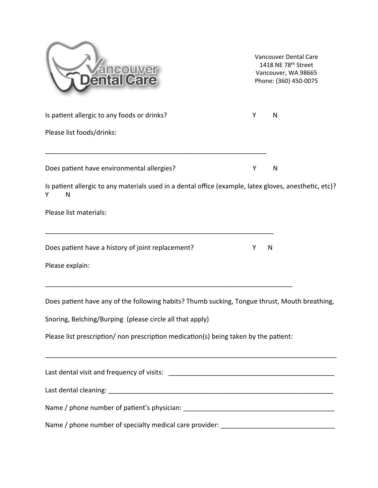| iallCare                                                                                                         | Vancouver Dental Care<br>1418 NE 78th Street<br>Vancouver, WA 98665<br>Phone: (360) 450-0075 |   |  |  |
|------------------------------------------------------------------------------------------------------------------|----------------------------------------------------------------------------------------------|---|--|--|
| Is patient allergic to any foods or drinks?                                                                      | Y                                                                                            | N |  |  |
| Please list foods/drinks:                                                                                        |                                                                                              |   |  |  |
| Does patient have environmental allergies?                                                                       | Y                                                                                            | N |  |  |
| Is patient allergic to any materials used in a dental office (example, latex gloves, anesthetic, etc)?<br>N<br>Y |                                                                                              |   |  |  |
| Please list materials:                                                                                           |                                                                                              |   |  |  |
| Does patient have a history of joint replacement?                                                                | Y                                                                                            | N |  |  |
| Please explain:                                                                                                  |                                                                                              |   |  |  |
| Does patient have any of the following habits? Thumb sucking, Tongue thrust, Mouth breathing,                    |                                                                                              |   |  |  |
| Snoring, Belching/Burping (please circle all that apply)                                                         |                                                                                              |   |  |  |
| Please list prescription/ non prescription medication(s) being taken by the patient:                             |                                                                                              |   |  |  |
|                                                                                                                  |                                                                                              |   |  |  |
|                                                                                                                  |                                                                                              |   |  |  |
|                                                                                                                  |                                                                                              |   |  |  |
|                                                                                                                  |                                                                                              |   |  |  |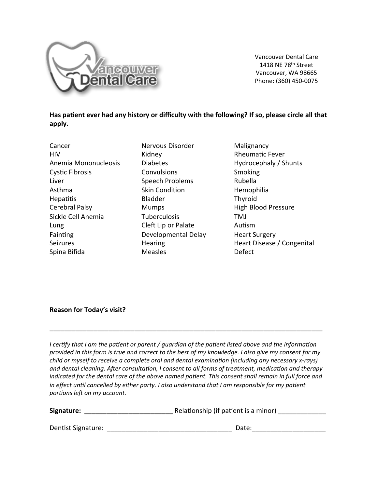

**Vancouver Dental Care** 1418 NE 78th Street Vancouver, WA 98665 Phone: (360) 450-0075

Has patient ever had any history or difficulty with the following? If so, please circle all that apply.

Cancer **HIV** Anemia Mononucleosis **Cystic Fibrosis** Liver Asthma **Hepatitis** Cerebral Palsy Sickle Cell Anemia Lung Fainting Seizures Spina Bifida

Nervous Disorder Kidnev **Diabetes** Convulsions Speech Problems **Skin Condition Bladder Mumps Tuberculosis** Cleft Lip or Palate Developmental Delay **Hearing Measles** 

Malignancy **Rheumatic Fever** Hydrocephaly / Shunts **Smoking** Rubella Hemophilia Thyroid **High Blood Pressure TMJ** Autism **Heart Surgery** Heart Disease / Congenital Defect

## **Reason for Today's visit?**

I certify that I am the patient or parent / quardian of the patient listed above and the information provided in this form is true and correct to the best of my knowledge. I also give my consent for my child or myself to receive a complete oral and dental examination (including any necessary x-rays) and dental cleaning. After consultation, I consent to all forms of treatment, medication and therapy indicated for the dental care of the above named patient. This consent shall remain in full force and in effect until cancelled by either party. I also understand that I am responsible for my patient portions left on my account.

| Signature: | Relationship (if patient is a minor) |  |
|------------|--------------------------------------|--|
|------------|--------------------------------------|--|